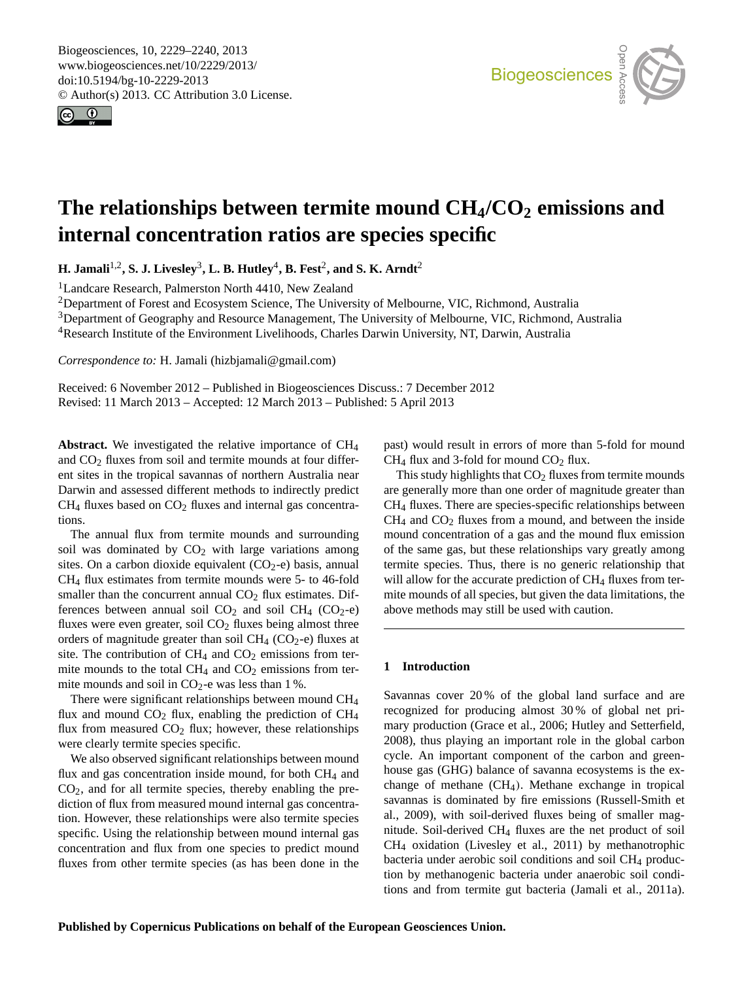<span id="page-0-0"></span>Biogeosciences, 10, 2229–2240, 2013 www.biogeosciences.net/10/2229/2013/ doi:10.5194/bg-10-2229-2013 © Author(s) 2013. CC Attribution 3.0 License.





# **The relationships between termite mound CH4/CO<sup>2</sup> emissions and internal concentration ratios are species specific**

**H. Jamali<sup>1,2</sup>, S. J. Livesley<sup>3</sup>, L. B. Hutley<sup>4</sup>, B. Fest<sup>2</sup>, and S. K. Arndt<sup>2</sup>** 

<sup>1</sup>Landcare Research, Palmerston North 4410, New Zealand

<sup>2</sup>Department of Forest and Ecosystem Science, The University of Melbourne, VIC, Richmond, Australia

Bepartment of Geography and Resource Management, The University of Melbourne, VIC, Richmond, Australia<sup>3</sup>Department of Geography and Resource Management, The University of Melbourne, VIC, Richmond, Australia  $\alpha$ 

<sup>4</sup>Research Institute of the Environment Livelihoods, Charles Darwin University, NT, Darwin, Australia

*Correspondence to:* H. Jamali (hizbjamali@gmail.com)

Received: 6 November 2012 – Published in Biogeosciences Discuss.: 7 December 2012 Revised: 11 March 2013 – Accepted: 12 March 2013 – Published: 5 April 2013

**Abstract.** We investigated the relative importance of CH<sup>4</sup> and  $CO<sub>2</sub>$  fluxes from soil and termite mounds at four different sites in the tropical savannas of northern Australia near Darwin and assessed different methods to indirectly predict  $CH<sub>4</sub>$  fluxes based on  $CO<sub>2</sub>$  fluxes and internal gas concentrations.

The annual flux from termite mounds and surrounding soil was dominated by  $CO<sub>2</sub>$  with large variations among sites. On a carbon dioxide equivalent  $(CO_2-e)$  basis, annual CH<sup>4</sup> flux estimates from termite mounds were 5- to 46-fold smaller than the concurrent annual  $CO<sub>2</sub>$  flux estimates. Differences between annual soil  $CO<sub>2</sub>$  and soil  $CH<sub>4</sub>$  (CO<sub>2</sub>-e) fluxes were even greater, soil  $CO<sub>2</sub>$  fluxes being almost three orders of magnitude greater than soil  $CH_4$  (CO<sub>2</sub>-e) fluxes at site. The contribution of  $CH_4$  and  $CO_2$  emissions from termite mounds to the total  $CH_4$  and  $CO_2$  emissions from termite mounds and soil in  $CO_2$ -e was less than 1%.

There were significant relationships between mound CH<sub>4</sub> flux and mound  $CO<sub>2</sub>$  flux, enabling the prediction of  $CH<sub>4</sub>$ flux from measured  $CO<sub>2</sub>$  flux; however, these relationships were clearly termite species specific.

We also observed significant relationships between mound flux and gas concentration inside mound, for both  $CH<sub>4</sub>$  and  $CO<sub>2</sub>$ , and for all termite species, thereby enabling the prediction of flux from measured mound internal gas concentration. However, these relationships were also termite species specific. Using the relationship between mound internal gas concentration and flux from one species to predict mound fluxes from other termite species (as has been done in the

past) would result in errors of more than 5-fold for mound ld  $CH<sub>4</sub>$  flux and 3-fold for mound  $CO<sub>2</sub>$  flux.

are generally more than one order of magnitude greater than<br>CH<sub>4</sub> fluxes. There are species-specific relationships between  $CH<sub>4</sub>$  and  $CO<sub>2</sub>$  fluxes from a mound, and between the inside mound concentration of a gas and the mound flux emission<br>of the same gas, but these relationships yery greatly among e<br>sh<br>flu above methods may still be used with caution. ux<br>m This study highlights that  $CO<sub>2</sub>$  fluxes from termite mounds are generally more than one order of magnitude greater than of the same gas, but these relationships vary greatly among termite species. Thus, there is no generic relationship that will allow for the accurate prediction of  $CH_4$  fluxes from termite mounds of all species, but given the data limitations, the

# **1 Introduction**

Savannas cover 20% of the global land surface and are fa:<br>Ol<br>. The Cryosland exchange in tropical<br>change of methane (CH<sub>4</sub>). Methane exchange in tropical n<br>ge<br>sse recognized for producing almost 30 % of global net primary production (Grace et al., 2006; Hutley and Setterfield, 2008), thus playing an important role in the global carbon cycle. An important component of the carbon and greenhouse gas (GHG) balance of savanna ecosystems is the exsavannas is dominated by fire emissions (Russell-Smith et al., 2009), with soil-derived fluxes being of smaller magnitude. Soil-derived CH<sup>4</sup> fluxes are the net product of soil CH<sup>4</sup> oxidation (Livesley et al., 2011) by methanotrophic bacteria under aerobic soil conditions and soil CH<sub>4</sub> production by methanogenic bacteria under anaerobic soil conditions and from termite gut bacteria (Jamali et al., 2011a).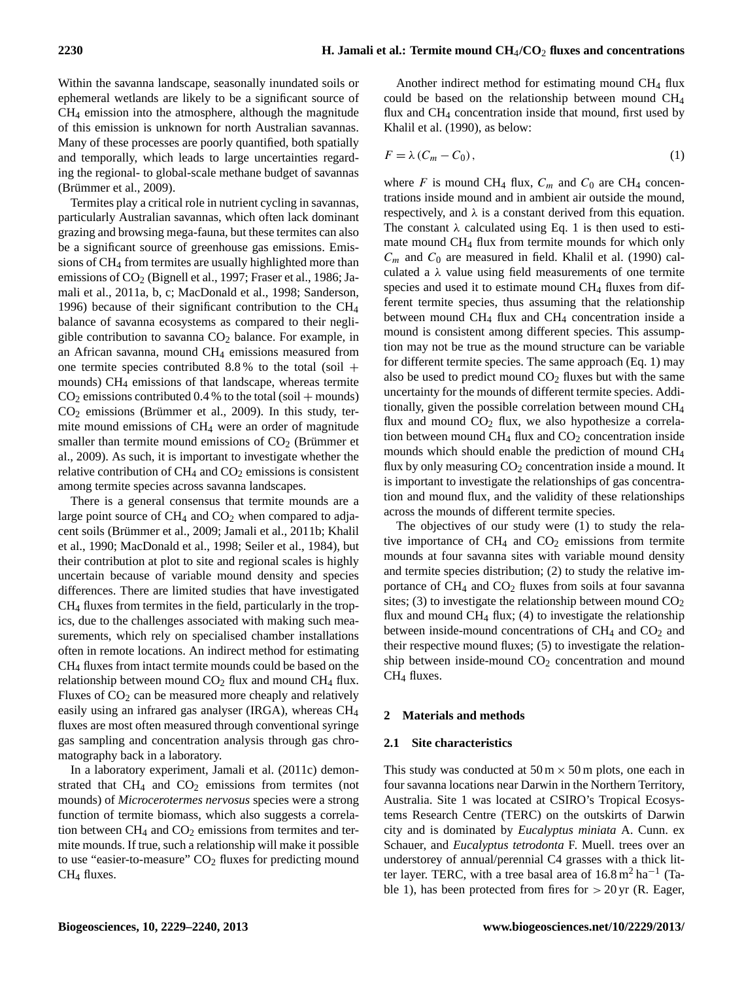Within the savanna landscape, seasonally inundated soils or ephemeral wetlands are likely to be a significant source of CH<sup>4</sup> emission into the atmosphere, although the magnitude of this emission is unknown for north Australian savannas. Many of these processes are poorly quantified, both spatially and temporally, which leads to large uncertainties regarding the regional- to global-scale methane budget of savannas  $(B$ rümmer et al., 2009).

Termites play a critical role in nutrient cycling in savannas, particularly Australian savannas, which often lack dominant grazing and browsing mega-fauna, but these termites can also be a significant source of greenhouse gas emissions. Emissions of CH<sup>4</sup> from termites are usually highlighted more than emissions of  $CO<sub>2</sub>$  (Bignell et al., 1997; Fraser et al., 1986; Jamali et al., 2011a, b, c; MacDonald et al., 1998; Sanderson, 1996) because of their significant contribution to the CH<sup>4</sup> balance of savanna ecosystems as compared to their negligible contribution to savanna  $CO<sub>2</sub>$  balance. For example, in an African savanna, mound CH<sup>4</sup> emissions measured from one termite species contributed  $8.8\%$  to the total (soil + mounds) CH<sup>4</sup> emissions of that landscape, whereas termite  $CO<sub>2</sub>$  emissions contributed 0.4 % to the total (soil + mounds)  $CO<sub>2</sub>$  emissions (Brümmer et al., 2009). In this study, termite mound emissions of CH<sup>4</sup> were an order of magnitude smaller than termite mound emissions of  $CO<sub>2</sub>$  (Brümmer et al., 2009). As such, it is important to investigate whether the relative contribution of  $CH_4$  and  $CO_2$  emissions is consistent among termite species across savanna landscapes.

There is a general consensus that termite mounds are a large point source of  $CH_4$  and  $CO_2$  when compared to adjacent soils (Brümmer et al., 2009; Jamali et al., 2011b; Khalil et al., 1990; MacDonald et al., 1998; Seiler et al., 1984), but their contribution at plot to site and regional scales is highly uncertain because of variable mound density and species differences. There are limited studies that have investigated CH<sup>4</sup> fluxes from termites in the field, particularly in the tropics, due to the challenges associated with making such measurements, which rely on specialised chamber installations often in remote locations. An indirect method for estimating CH<sup>4</sup> fluxes from intact termite mounds could be based on the relationship between mound  $CO<sub>2</sub>$  flux and mound  $CH<sub>4</sub>$  flux. Fluxes of  $CO<sub>2</sub>$  can be measured more cheaply and relatively easily using an infrared gas analyser (IRGA), whereas CH<sup>4</sup> fluxes are most often measured through conventional syringe gas sampling and concentration analysis through gas chromatography back in a laboratory.

In a laboratory experiment, Jamali et al. (2011c) demonstrated that  $CH_4$  and  $CO_2$  emissions from termites (not mounds) of *Microcerotermes nervosus* species were a strong function of termite biomass, which also suggests a correlation between  $CH_4$  and  $CO_2$  emissions from termites and termite mounds. If true, such a relationship will make it possible to use "easier-to-measure"  $CO<sub>2</sub>$  fluxes for predicting mound CH<sup>4</sup> fluxes.

Another indirect method for estimating mound CH<sub>4</sub> flux could be based on the relationship between mound CH<sup>4</sup> flux and CH<sub>4</sub> concentration inside that mound, first used by Khalil et al. (1990), as below:

$$
F = \lambda (C_m - C_0), \qquad (1)
$$

where F is mound CH<sub>4</sub> flux,  $C_m$  and  $C_0$  are CH<sub>4</sub> concentrations inside mound and in ambient air outside the mound, respectively, and  $\lambda$  is a constant derived from this equation. The constant  $\lambda$  calculated using Eq. 1 is then used to estimate mound CH<sup>4</sup> flux from termite mounds for which only  $C_m$  and  $C_0$  are measured in field. Khalil et al. (1990) calculated a  $\lambda$  value using field measurements of one termite species and used it to estimate mound CH<sub>4</sub> fluxes from different termite species, thus assuming that the relationship between mound  $CH_4$  flux and  $CH_4$  concentration inside a mound is consistent among different species. This assumption may not be true as the mound structure can be variable for different termite species. The same approach (Eq. 1) may also be used to predict mound  $CO<sub>2</sub>$  fluxes but with the same uncertainty for the mounds of different termite species. Additionally, given the possible correlation between mound CH<sup>4</sup> flux and mound  $CO<sub>2</sub>$  flux, we also hypothesize a correlation between mound  $CH_4$  flux and  $CO_2$  concentration inside mounds which should enable the prediction of mound CH<sup>4</sup> flux by only measuring  $CO<sub>2</sub>$  concentration inside a mound. It is important to investigate the relationships of gas concentration and mound flux, and the validity of these relationships across the mounds of different termite species.

The objectives of our study were (1) to study the relative importance of  $CH_4$  and  $CO_2$  emissions from termite mounds at four savanna sites with variable mound density and termite species distribution; (2) to study the relative importance of  $CH_4$  and  $CO_2$  fluxes from soils at four savanna sites; (3) to investigate the relationship between mound  $CO<sub>2</sub>$ flux and mound  $CH_4$  flux; (4) to investigate the relationship between inside-mound concentrations of  $CH<sub>4</sub>$  and  $CO<sub>2</sub>$  and their respective mound fluxes; (5) to investigate the relationship between inside-mound  $CO<sub>2</sub>$  concentration and mound CH<sup>4</sup> fluxes.

# **2 Materials and methods**

# **2.1 Site characteristics**

This study was conducted at  $50 \text{ m} \times 50 \text{ m}$  plots, one each in four savanna locations near Darwin in the Northern Territory, Australia. Site 1 was located at CSIRO's Tropical Ecosystems Research Centre (TERC) on the outskirts of Darwin city and is dominated by *Eucalyptus miniata* A. Cunn. ex Schauer, and *Eucalyptus tetrodonta* F. Muell. trees over an understorey of annual/perennial C4 grasses with a thick litter layer. TERC, with a tree basal area of  $16.8 \text{ m}^2 \text{ ha}^{-1}$  (Table 1), has been protected from fires for  $> 20$  yr (R. Eager,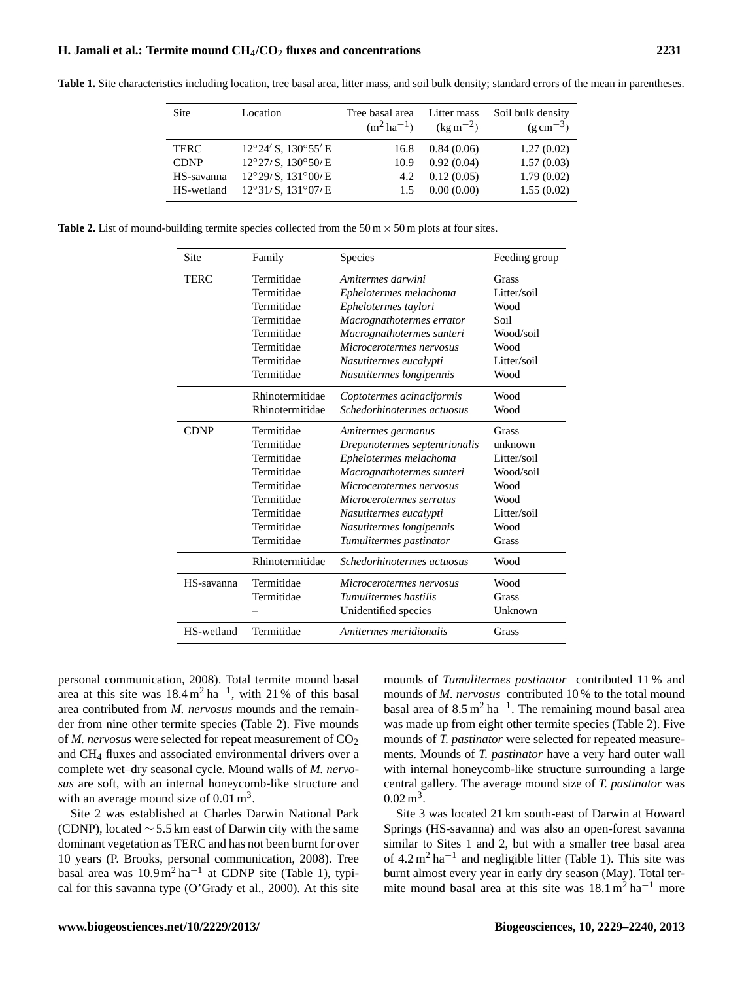# **H. Jamali et al.: Termite mound CH**4**/CO**<sup>2</sup> **fluxes and concentrations 2231**

**Table 1.** Site characteristics including location, tree basal area, litter mass, and soil bulk density; standard errors of the mean in parentheses.

**Table 2.** List of mound-building termite species collected from the 50 m  $\times$  50 m plots at four sites.

| Site        | Family          | Species                       | Feeding group |
|-------------|-----------------|-------------------------------|---------------|
| <b>TERC</b> | Termitidae      | Amitermes darwini             | Grass         |
|             | Termitidae      | Ephelotermes melachoma        | Litter/soil   |
|             | Termitidae      | Ephelotermes taylori          | Wood          |
|             | Termitidae      | Macrognathotermes errator     | Soil          |
|             | Termitidae      | Macrognathotermes sunteri     | Wood/soil     |
|             | Termitidae      | Microcerotermes nervosus      | Wood          |
|             | Termitidae      | Nasutitermes eucalypti        | Litter/soil   |
|             | Termitidae      | Nasutitermes longipennis      | Wood          |
|             | Rhinotermitidae | Coptotermes acinaciformis     | Wood          |
|             | Rhinotermitidae | Schedorhinotermes actuosus    | Wood          |
| <b>CDNP</b> | Termitidae      | Amitermes germanus            | <b>Grass</b>  |
|             | Termitidae      | Drepanotermes septentrionalis | unknown       |
|             | Termitidae      | Ephelotermes melachoma        | Litter/soil   |
|             | Termitidae      | Macrognathotermes sunteri     | Wood/soil     |
|             | Termitidae      | Microcerotermes nervosus      | Wood          |
|             | Termitidae      | Microcerotermes serratus      | Wood          |
|             | Termitidae      | Nasutitermes eucalypti        | Litter/soil   |
|             | Termitidae      | Nasutitermes longipennis      | Wood          |
|             | Termitidae      | Tumulitermes pastinator       | Grass         |
|             | Rhinotermitidae | Schedorhinotermes actuosus    | Wood          |
| HS-savanna  | Termitidae      | Microcerotermes nervosus      | Wood          |
|             | Termitidae      | Tumulitermes hastilis         | <b>Grass</b>  |
|             |                 | Unidentified species          | Unknown       |
| HS-wetland  | Termitidae      | Amitermes meridionalis        | <b>Grass</b>  |

personal communication, 2008). Total termite mound basal area at this site was  $18.4 \text{ m}^2 \text{ ha}^{-1}$ , with 21% of this basal area contributed from *M. nervosus* mounds and the remainder from nine other termite species (Table 2). Five mounds of *M. nervosus* were selected for repeat measurement of  $CO<sub>2</sub>$ and CH<sup>4</sup> fluxes and associated environmental drivers over a complete wet–dry seasonal cycle. Mound walls of *M. nervosus* are soft, with an internal honeycomb-like structure and with an average mound size of  $0.01 \text{ m}^3$ .

Site 2 was established at Charles Darwin National Park (CDNP), located  $\sim$  5.5 km east of Darwin city with the same dominant vegetation as TERC and has not been burnt for over 10 years (P. Brooks, personal communication, 2008). Tree basal area was  $10.9 \text{ m}^2 \text{ ha}^{-1}$  at CDNP site (Table 1), typical for this savanna type (O'Grady et al., 2000). At this site mounds of *Tumulitermes pastinator* contributed 11 % and mounds of *M. nervosus* contributed 10 % to the total mound basal area of  $8.5 \text{ m}^2 \text{ ha}^{-1}$ . The remaining mound basal area was made up from eight other termite species (Table 2). Five mounds of *T. pastinator* were selected for repeated measurements. Mounds of *T. pastinator* have a very hard outer wall with internal honeycomb-like structure surrounding a large central gallery. The average mound size of *T. pastinator* was  $0.02 \,\mathrm{m}^3$ .

Site 3 was located 21 km south-east of Darwin at Howard Springs (HS-savanna) and was also an open-forest savanna similar to Sites 1 and 2, but with a smaller tree basal area of  $4.2 \text{ m}^2 \text{ ha}^{-1}$  and negligible litter (Table 1). This site was burnt almost every year in early dry season (May). Total termite mound basal area at this site was  $18.1 \text{ m}^2 \text{ ha}^{-1}$  more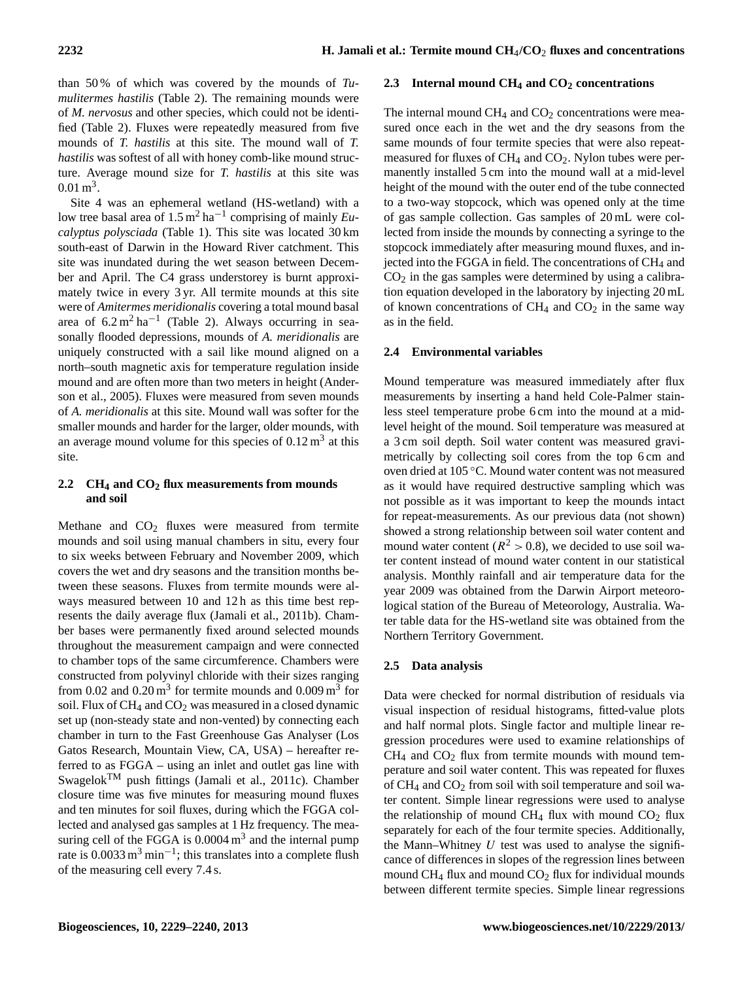than 50 % of which was covered by the mounds of *Tumulitermes hastilis* (Table 2). The remaining mounds were of *M. nervosus* and other species, which could not be identified (Table 2). Fluxes were repeatedly measured from five mounds of *T. hastilis* at this site. The mound wall of *T. hastilis* was softest of all with honey comb-like mound structure. Average mound size for *T. hastilis* at this site was  $0.01 \,\mathrm{m}^3$ .

Site 4 was an ephemeral wetland (HS-wetland) with a low tree basal area of 1.5 m<sup>2</sup> ha−<sup>1</sup> comprising of mainly *Eucalyptus polysciada* (Table 1). This site was located 30 km south-east of Darwin in the Howard River catchment. This site was inundated during the wet season between December and April. The C4 grass understorey is burnt approximately twice in every 3 yr. All termite mounds at this site were of *Amitermes meridionalis* covering a total mound basal area of  $6.2 \text{ m}^2 \text{ ha}^{-1}$  (Table 2). Always occurring in seasonally flooded depressions, mounds of *A. meridionalis* are uniquely constructed with a sail like mound aligned on a north–south magnetic axis for temperature regulation inside mound and are often more than two meters in height (Anderson et al., 2005). Fluxes were measured from seven mounds of *A. meridionalis* at this site. Mound wall was softer for the smaller mounds and harder for the larger, older mounds, with an average mound volume for this species of  $0.12 \text{ m}^3$  at this site.

# **2.2 CH<sup>4</sup> and CO<sup>2</sup> flux measurements from mounds and soil**

Methane and CO<sub>2</sub> fluxes were measured from termite mounds and soil using manual chambers in situ, every four to six weeks between February and November 2009, which covers the wet and dry seasons and the transition months between these seasons. Fluxes from termite mounds were always measured between 10 and 12 h as this time best represents the daily average flux (Jamali et al., 2011b). Chamber bases were permanently fixed around selected mounds throughout the measurement campaign and were connected to chamber tops of the same circumference. Chambers were constructed from polyvinyl chloride with their sizes ranging from 0.02 and  $0.20 \text{ m}^3$  for termite mounds and  $0.009 \text{ m}^3$  for soil. Flux of  $CH_4$  and  $CO_2$  was measured in a closed dynamic set up (non-steady state and non-vented) by connecting each chamber in turn to the Fast Greenhouse Gas Analyser (Los Gatos Research, Mountain View, CA, USA) – hereafter referred to as FGGA – using an inlet and outlet gas line with SwagelokTM push fittings (Jamali et al., 2011c). Chamber closure time was five minutes for measuring mound fluxes and ten minutes for soil fluxes, during which the FGGA collected and analysed gas samples at 1 Hz frequency. The measuring cell of the FGGA is  $0.0004 \text{ m}^3$  and the internal pump rate is  $0.0033 \text{ m}^3 \text{ min}^{-1}$ ; this translates into a complete flush of the measuring cell every 7.4 s.

# **2.3 Internal mound CH<sup>4</sup> and CO<sup>2</sup> concentrations**

The internal mound  $CH_4$  and  $CO_2$  concentrations were measured once each in the wet and the dry seasons from the same mounds of four termite species that were also repeatmeasured for fluxes of  $CH_4$  and  $CO_2$ . Nylon tubes were permanently installed 5 cm into the mound wall at a mid-level height of the mound with the outer end of the tube connected to a two-way stopcock, which was opened only at the time of gas sample collection. Gas samples of 20 mL were collected from inside the mounds by connecting a syringe to the stopcock immediately after measuring mound fluxes, and injected into the FGGA in field. The concentrations of CH<sub>4</sub> and  $CO<sub>2</sub>$  in the gas samples were determined by using a calibration equation developed in the laboratory by injecting 20 mL of known concentrations of  $CH_4$  and  $CO_2$  in the same way as in the field.

# **2.4 Environmental variables**

Mound temperature was measured immediately after flux measurements by inserting a hand held Cole-Palmer stainless steel temperature probe 6 cm into the mound at a midlevel height of the mound. Soil temperature was measured at a 3 cm soil depth. Soil water content was measured gravimetrically by collecting soil cores from the top 6 cm and oven dried at 105 ◦C. Mound water content was not measured as it would have required destructive sampling which was not possible as it was important to keep the mounds intact for repeat-measurements. As our previous data (not shown) showed a strong relationship between soil water content and mound water content ( $R^2 > 0.8$ ), we decided to use soil water content instead of mound water content in our statistical analysis. Monthly rainfall and air temperature data for the year 2009 was obtained from the Darwin Airport meteorological station of the Bureau of Meteorology, Australia. Water table data for the HS-wetland site was obtained from the Northern Territory Government.

# **2.5 Data analysis**

Data were checked for normal distribution of residuals via visual inspection of residual histograms, fitted-value plots and half normal plots. Single factor and multiple linear regression procedures were used to examine relationships of  $CH<sub>4</sub>$  and  $CO<sub>2</sub>$  flux from termite mounds with mound temperature and soil water content. This was repeated for fluxes of  $CH_4$  and  $CO_2$  from soil with soil temperature and soil water content. Simple linear regressions were used to analyse the relationship of mound CH<sub>4</sub> flux with mound CO<sub>2</sub> flux separately for each of the four termite species. Additionally, the Mann–Whitney  $U$  test was used to analyse the significance of differences in slopes of the regression lines between mound  $CH_4$  flux and mound  $CO_2$  flux for individual mounds between different termite species. Simple linear regressions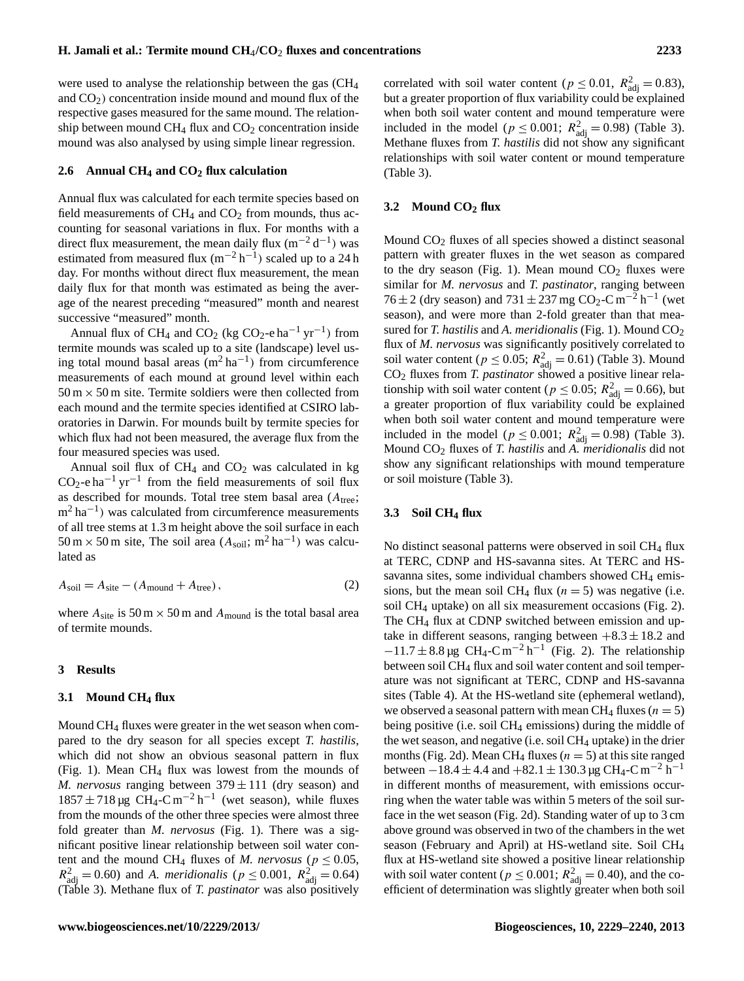were used to analyse the relationship between the gas (CH<sup>4</sup> and  $CO<sub>2</sub>$ ) concentration inside mound and mound flux of the respective gases measured for the same mound. The relationship between mound  $CH_4$  flux and  $CO_2$  concentration inside mound was also analysed by using simple linear regression.

# **2.6 Annual CH<sup>4</sup> and CO<sup>2</sup> flux calculation**

Annual flux was calculated for each termite species based on field measurements of  $CH_4$  and  $CO_2$  from mounds, thus accounting for seasonal variations in flux. For months with a direct flux measurement, the mean daily flux  $(m^{-2} d^{-1})$  was estimated from measured flux  $(m^{-2} h^{-1})$  scaled up to a 24 h day. For months without direct flux measurement, the mean daily flux for that month was estimated as being the average of the nearest preceding "measured" month and nearest successive "measured" month.

Annual flux of CH<sub>4</sub> and CO<sub>2</sub> (kg CO<sub>2</sub>-e ha<sup>-1</sup> yr<sup>-1</sup>) from termite mounds was scaled up to a site (landscape) level using total mound basal areas  $(m^2 \text{ ha}^{-1})$  from circumference measurements of each mound at ground level within each  $50 \text{ m} \times 50 \text{ m}$  site. Termite soldiers were then collected from each mound and the termite species identified at CSIRO laboratories in Darwin. For mounds built by termite species for which flux had not been measured, the average flux from the four measured species was used.

Annual soil flux of  $CH_4$  and  $CO_2$  was calculated in kg  $CO_2$ -e ha<sup>-1</sup> yr<sup>-1</sup> from the field measurements of soil flux as described for mounds. Total tree stem basal area  $(A_{tree};$  $m^2$  ha<sup>-1</sup>) was calculated from circumference measurements of all tree stems at 1.3 m height above the soil surface in each  $50 \text{ m} \times 50 \text{ m}$  site, The soil area  $(A_{\text{soil}}; \text{m}^2 \text{ ha}^{-1})$  was calculated as

$$
A_{\text{soil}} = A_{\text{site}} - (A_{\text{mount}} + A_{\text{tree}}),
$$
\n(2)

where  $A_{\text{site}}$  is 50 m  $\times$  50 m and  $A_{\text{mound}}$  is the total basal area of termite mounds.

#### **3 Results**

## **3.1 Mound CH<sup>4</sup> flux**

Mound CH<sup>4</sup> fluxes were greater in the wet season when compared to the dry season for all species except *T. hastilis*, which did not show an obvious seasonal pattern in flux (Fig. 1). Mean CH<sup>4</sup> flux was lowest from the mounds of *M. nervosus* ranging between  $379 \pm 111$  (dry season) and 1857 ± 718 μg CH<sub>4</sub>-C m<sup>-2</sup> h<sup>-1</sup> (wet season), while fluxes from the mounds of the other three species were almost three fold greater than *M. nervosus* (Fig. 1). There was a significant positive linear relationship between soil water content and the mound CH<sub>4</sub> fluxes of *M. nervosus* ( $p \le 0.05$ ,  $R_{\text{adj}}^2 = 0.60$ ) and *A. meridionalis* ( $p \le 0.001$ ,  $R_{\text{adj}}^2 = 0.64$ ) (Table 3). Methane flux of *T. pastinator* was also positively

correlated with soil water content ( $p \le 0.01$ ,  $R_{\text{adj}}^2 = 0.83$ ), but a greater proportion of flux variability could be explained when both soil water content and mound temperature were included in the model ( $p \le 0.001$ ;  $R_{\text{adj}}^2 = 0.98$ ) (Table 3). Methane fluxes from *T. hastilis* did not show any significant relationships with soil water content or mound temperature (Table 3).

### **3.2 Mound CO<sup>2</sup> flux**

Mound  $CO<sub>2</sub>$  fluxes of all species showed a distinct seasonal pattern with greater fluxes in the wet season as compared to the dry season (Fig. 1). Mean mound  $CO<sub>2</sub>$  fluxes were similar for *M. nervosus* and *T. pastinator*, ranging between  $76 \pm 2$  (dry season) and  $731 \pm 237$  mg CO<sub>2</sub>-C m<sup>-2</sup> h<sup>-1</sup> (wet season), and were more than 2-fold greater than that measured for *T. hastilis* and *A. meridionalis* (Fig. 1). Mound CO<sub>2</sub> flux of *M. nervosus* was significantly positively correlated to soil water content ( $p \le 0.05$ ;  $R_{\text{adj}}^2 = 0.61$ ) (Table 3). Mound CO<sup>2</sup> fluxes from *T. pastinator* showed a positive linear relationship with soil water content ( $p \le 0.05$ ;  $R_{\text{adj}}^2 = 0.66$ ), but a greater proportion of flux variability could be explained when both soil water content and mound temperature were included in the model ( $p \le 0.001$ ;  $R_{\text{adj}}^2 = 0.98$ ) (Table 3). Mound CO<sup>2</sup> fluxes of *T. hastilis* and *A. meridionalis* did not show any significant relationships with mound temperature or soil moisture (Table 3).

# **3.3 Soil CH<sup>4</sup> flux**

No distinct seasonal patterns were observed in soil CH<sup>4</sup> flux at TERC, CDNP and HS-savanna sites. At TERC and HSsavanna sites, some individual chambers showed CH<sub>4</sub> emissions, but the mean soil CH<sub>4</sub> flux ( $n = 5$ ) was negative (i.e. soil CH<sup>4</sup> uptake) on all six measurement occasions (Fig. 2). The CH<sub>4</sub> flux at CDNP switched between emission and uptake in different seasons, ranging between  $+8.3 \pm 18.2$  and  $-11.7 \pm 8.8 \,\mu g$  CH<sub>4</sub>-C m<sup>-2</sup> h<sup>-1</sup> (Fig. 2). The relationship between soil CH<sup>4</sup> flux and soil water content and soil temperature was not significant at TERC, CDNP and HS-savanna sites (Table 4). At the HS-wetland site (ephemeral wetland), we observed a seasonal pattern with mean CH<sub>4</sub> fluxes ( $n = 5$ ) being positive (i.e. soil  $CH_4$  emissions) during the middle of the wet season, and negative (i.e. soil  $CH_4$  uptake) in the drier months (Fig. 2d). Mean CH<sub>4</sub> fluxes ( $n = 5$ ) at this site ranged between  $-18.4 \pm 4.4$  and  $+82.1 \pm 130.3$  µg CH<sub>4</sub>-C m<sup>-2</sup> h<sup>-1</sup> in different months of measurement, with emissions occurring when the water table was within 5 meters of the soil surface in the wet season (Fig. 2d). Standing water of up to 3 cm above ground was observed in two of the chambers in the wet season (February and April) at HS-wetland site. Soil CH<sup>4</sup> flux at HS-wetland site showed a positive linear relationship with soil water content ( $p \le 0.001$ ;  $R_{\text{adj}}^2 = 0.40$ ), and the coefficient of determination was slightly greater when both soil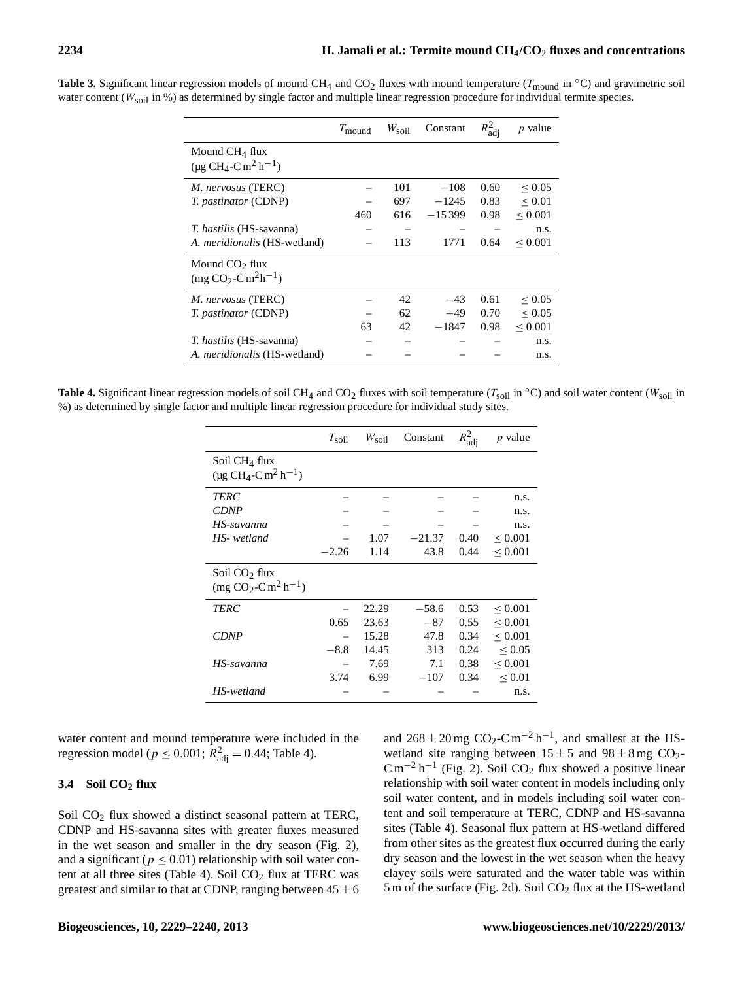|                                                                                  | $T_{\text{mound}}$ | $W_{\rm soil}$ | Constant | $R_{\text{adj}}^2$ | <i>p</i> value    |
|----------------------------------------------------------------------------------|--------------------|----------------|----------|--------------------|-------------------|
| Mound $CH4$ flux<br>$(\mu$ g CH <sub>4</sub> -C m <sup>2</sup> h <sup>-1</sup> ) |                    |                |          |                    |                   |
| M. nervosus (TERC)                                                               |                    | 101            | $-108$   | 0.60               | ${}_{\leq 0.05}$  |
| <i>T. pastinator</i> (CDNP)                                                      |                    | 697            | $-1245$  | 0.83               | ${}_{0.01}$       |
|                                                                                  | 460                | 616            | $-15399$ | 0.98               | ${}_{\leq 0.001}$ |
| <i>T. hastilis</i> (HS-savanna)                                                  |                    |                |          |                    | n.s.              |
| A. <i>meridionalis</i> (HS-wetland)                                              |                    | 113            | 1771     | 0.64               | ${}_{\leq 0.001}$ |
| Mound $CO2$ flux<br>$(mg CO2-C m2h-1)$                                           |                    |                |          |                    |                   |
| <i>M. nervosus</i> (TERC)                                                        |                    | 42             | $-43$    | 0.61               | ${}_{\leq 0.05}$  |
| <i>T. pastinator</i> (CDNP)                                                      |                    | 62             | $-49$    | 0.70               | ${}_{\leq 0.05}$  |
|                                                                                  | 63                 | 42             | $-1847$  | 0.98               | ${}_{0.001}$      |
| <i>T. hastilis</i> (HS-savanna)                                                  |                    |                |          |                    | n.s.              |
| A. <i>meridionalis</i> (HS-wetland)                                              |                    |                |          |                    | n.s.              |

**Table 3.** Significant linear regression models of mound CH<sub>4</sub> and CO<sub>2</sub> fluxes with mound temperature ( $T_{\text{mound}}$  in  $\textdegree$ C) and gravimetric soil water content ( $W_{\text{solid}}$  in %) as determined by single factor and multiple linear regression procedure for individual termite species.

**Table 4.** Significant linear regression models of soil CH<sub>4</sub> and CO<sub>2</sub> fluxes with soil temperature ( $T_{\text{soil}}$  in  $\textdegree$ C) and soil water content ( $W_{\text{soil}}$  in %) as determined by single factor and multiple linear regression procedure for individual study sites.

|                                                                 | $T_{\rm soil}$ | $W_{\text{soil}}$ | Constant | $R_{\text{adj}}^2$ | $p$ value         |
|-----------------------------------------------------------------|----------------|-------------------|----------|--------------------|-------------------|
| Soil CH <sub>4</sub> flux<br>$(\mu g CH_4-Cm^2 h^{-1})$         |                |                   |          |                    |                   |
| TERC                                                            |                |                   |          |                    | n.s.              |
| <b>CDNP</b>                                                     |                |                   |          |                    | n.s.              |
| HS-savanna                                                      |                |                   |          |                    | n.s.              |
| HS- wetland                                                     |                | 1.07              | $-21.37$ | 0.40               | ${}_{\leq 0.001}$ |
|                                                                 | $-2.26$        | 1.14              | 43.8     | 0.44               | ${}_{\leq 0.001}$ |
| Soil $CO2$ flux<br>$\text{(mg CO}_2\text{-C m}^2\text{h}^{-1})$ |                |                   |          |                    |                   |
| <b>TERC</b>                                                     |                | 22.29             | $-58.6$  | 0.53               | ${}_{\leq 0.001}$ |
|                                                                 | 0.65           | 23.63             | $-87$    | 0.55               | ${}_{\leq 0.001}$ |
| <b>CDNP</b>                                                     |                | 15.28             | 47.8     | 0.34               | ${}_{\leq 0.001}$ |
|                                                                 | $-8.8$         | 14.45             | 313      | 0.24               | ${}_{\leq 0.05}$  |
| HS-savanna                                                      |                | 7.69              | 7.1      | 0.38               | ${}_{\leq 0.001}$ |
|                                                                 | 3.74           | 6.99              | $-107$   | 0.34               | ${}_{\leq 0.01}$  |
| HS-wetland                                                      |                |                   |          |                    | n.s.              |

water content and mound temperature were included in the regression model ( $p \le 0.001$ ;  $R_{\text{adj}}^2 = 0.44$ ; Table 4).

# **3.4 Soil CO<sup>2</sup> flux**

Soil CO<sub>2</sub> flux showed a distinct seasonal pattern at TERC, CDNP and HS-savanna sites with greater fluxes measured in the wet season and smaller in the dry season (Fig. 2), and a significant ( $p \leq 0.01$ ) relationship with soil water content at all three sites (Table 4). Soil  $CO<sub>2</sub>$  flux at TERC was greatest and similar to that at CDNP, ranging between  $45 \pm 6$ 

and  $268 \pm 20$  mg CO<sub>2</sub>-C m<sup>-2</sup> h<sup>-1</sup>, and smallest at the HSwetland site ranging between  $15 \pm 5$  and  $98 \pm 8$  mg CO<sub>2</sub>- $\text{C m}^{-2} \text{h}^{-1}$  (Fig. 2). Soil CO<sub>2</sub> flux showed a positive linear relationship with soil water content in models including only soil water content, and in models including soil water content and soil temperature at TERC, CDNP and HS-savanna sites (Table 4). Seasonal flux pattern at HS-wetland differed from other sites as the greatest flux occurred during the early dry season and the lowest in the wet season when the heavy clayey soils were saturated and the water table was within 5 m of the surface (Fig. 2d). Soil  $CO<sub>2</sub>$  flux at the HS-wetland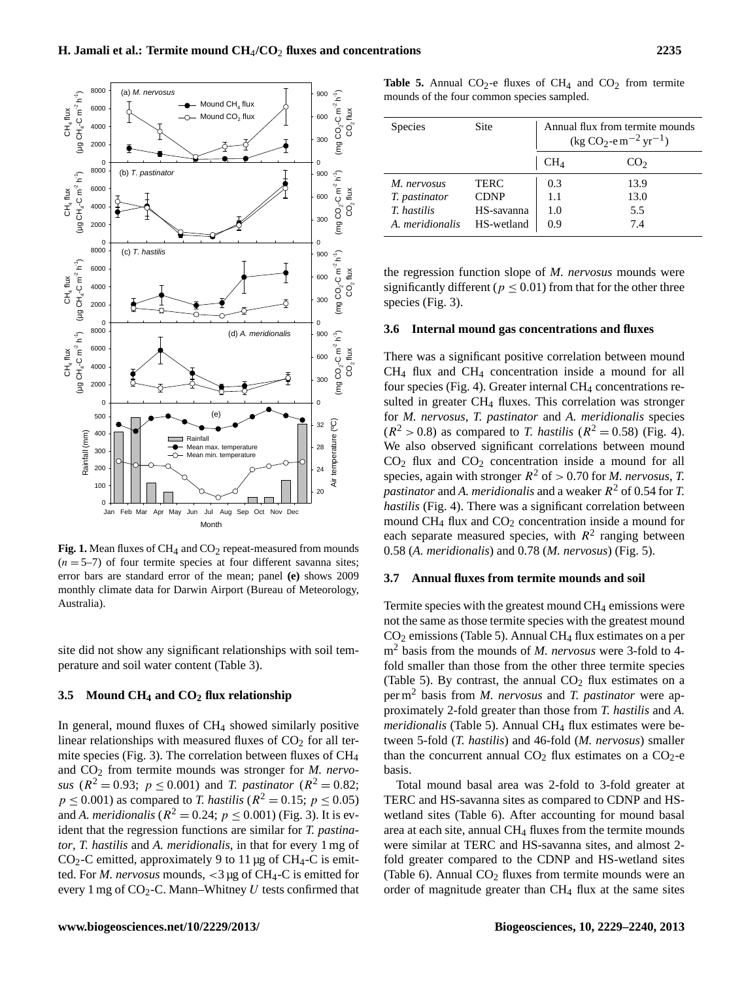

**Fig. 1.** Mean fluxes of CH<sub>4</sub> and CO<sub>2</sub> repeat-measured from mounds  $(n = 5-7)$  of four termite species at four different savanna sites; error bars are standard error of the mean; panel **(e)** shows 2009 monthly climate data for Darwin Airport (Bureau of Meteorology, Australia).

site did not show any significant relationships with soil temperature and soil water content (Table 3).

#### **3.5 Mound CH<sup>4</sup> and CO<sup>2</sup> flux relationship**

In general, mound fluxes of CH<sub>4</sub> showed similarly positive linear relationships with measured fluxes of  $CO<sub>2</sub>$  for all termite species (Fig. 3). The correlation between fluxes of  $CH<sub>4</sub>$ and CO<sub>2</sub> from termite mounds was stronger for *M. nervosus* ( $R^2 = 0.93$ ;  $p \le 0.001$ ) and *T. pastinator* ( $R^2 = 0.82$ ;  $p \le 0.001$ ) as compared to *T. hastilis* ( $R^2 = 0.15$ ;  $p \le 0.05$ ) and *A. meridionalis* ( $R^2 = 0.24$ ;  $p \le 0.001$ ) (Fig. 3). It is evident that the regression functions are similar for *T. pastinator*, *T. hastilis* and *A. meridionalis*, in that for every 1 mg of  $CO<sub>2</sub>-C$  emitted, approximately 9 to 11 µg of CH<sub>4</sub>-C is emitted. For *M. nervosus* mounds, <3 µg of CH4-C is emitted for every 1 mg of  $CO_2$ -C. Mann–Whitney  $U$  tests confirmed that

**Table 5.** Annual CO<sub>2</sub>-e fluxes of CH<sub>4</sub> and CO<sub>2</sub> from termite mounds of the four common species sampled.

| <b>Species</b>  | <b>Site</b> | Annual flux from termite mounds<br>$(\text{kg CO}_2 - \text{em}^{-2}\text{ yr}^{-1})$ |                 |  |
|-----------------|-------------|---------------------------------------------------------------------------------------|-----------------|--|
|                 |             | $CH_4$                                                                                | CO <sub>2</sub> |  |
| M. nervosus     | <b>TERC</b> | 0.3                                                                                   | 13.9            |  |
| T. pastinator   | <b>CDNP</b> | 1.1                                                                                   | 13.0            |  |
| T. hastilis     | HS-savanna  | 1.0                                                                                   | 5.5             |  |
| A. meridionalis | HS-wetland  | 0.9                                                                                   | 7.4             |  |

the regression function slope of *M. nervosus* mounds were significantly different ( $p \le 0.01$ ) from that for the other three species (Fig. 3).

#### **3.6 Internal mound gas concentrations and fluxes**

There was a significant positive correlation between mound CH<sup>4</sup> flux and CH<sup>4</sup> concentration inside a mound for all four species (Fig. 4). Greater internal CH<sub>4</sub> concentrations resulted in greater  $CH_4$  fluxes. This correlation was stronger for *M. nervosus*, *T. pastinator* and *A. meridionalis* species  $(R^{2} > 0.8)$  as compared to *T. hastilis*  $(R^{2} = 0.58)$  (Fig. 4). We also observed significant correlations between mound  $CO<sub>2</sub>$  flux and  $CO<sub>2</sub>$  concentration inside a mound for all species, again with stronger  $R^2$  of  $> 0.70$  for *M. nervosus*, *T. pastinator* and *A. meridionalis* and a weaker R <sup>2</sup> of 0.54 for *T. hastilis* (Fig. 4). There was a significant correlation between mound  $CH_4$  flux and  $CO_2$  concentration inside a mound for each separate measured species, with  $R^2$  ranging between 0.58 (*A. meridionalis*) and 0.78 (*M. nervosus*) (Fig. 5).

## **3.7 Annual fluxes from termite mounds and soil**

Termite species with the greatest mound  $CH_4$  emissions were not the same as those termite species with the greatest mound  $CO<sub>2</sub>$  emissions (Table 5). Annual CH<sub>4</sub> flux estimates on a per m<sup>2</sup> basis from the mounds of *M. nervosus* were 3-fold to 4 fold smaller than those from the other three termite species (Table 5). By contrast, the annual  $CO<sub>2</sub>$  flux estimates on a per m<sup>2</sup> basis from *M. nervosus* and *T. pastinator* were approximately 2-fold greater than those from *T. hastilis* and *A. meridionalis* (Table 5). Annual CH<sub>4</sub> flux estimates were between 5-fold (*T. hastilis*) and 46-fold (*M. nervosus*) smaller than the concurrent annual  $CO<sub>2</sub>$  flux estimates on a  $CO<sub>2</sub>$ -e basis.

Total mound basal area was 2-fold to 3-fold greater at TERC and HS-savanna sites as compared to CDNP and HSwetland sites (Table 6). After accounting for mound basal area at each site, annual CH<sup>4</sup> fluxes from the termite mounds were similar at TERC and HS-savanna sites, and almost 2 fold greater compared to the CDNP and HS-wetland sites (Table 6). Annual  $CO<sub>2</sub>$  fluxes from termite mounds were an order of magnitude greater than CH<sup>4</sup> flux at the same sites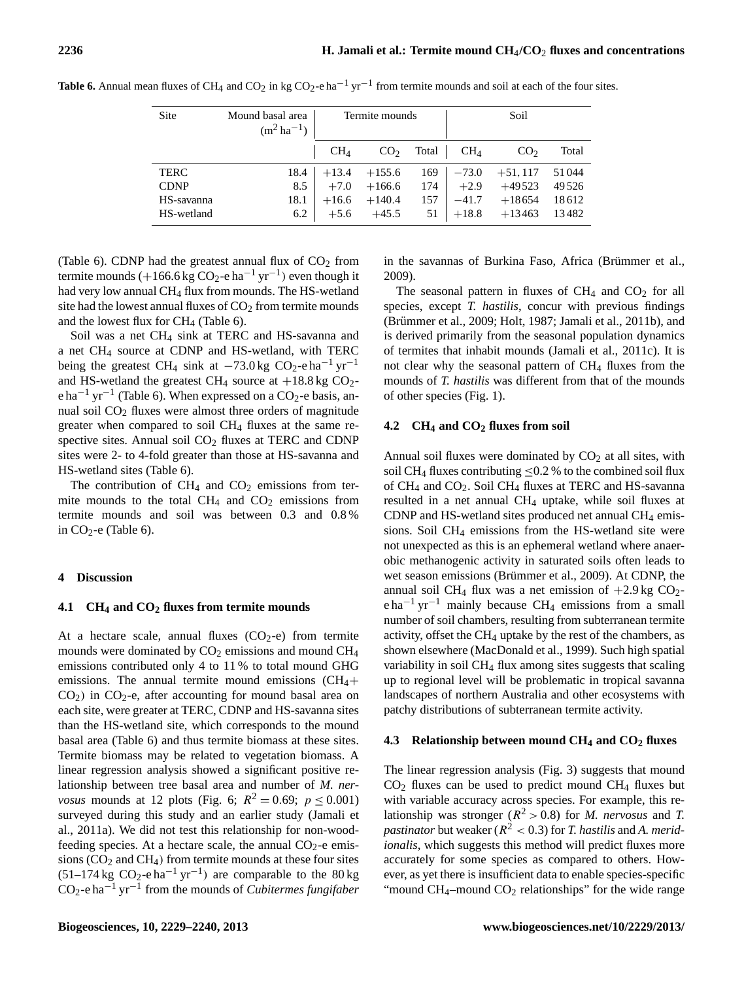| Site        | Mound basal area<br>$(m^2 \, ha^{-1})$ | Termite mounds |                 |       | Soil            |                 |       |
|-------------|----------------------------------------|----------------|-----------------|-------|-----------------|-----------------|-------|
|             |                                        | $CH_4$         | CO <sub>2</sub> | Total | CH <sub>4</sub> | CO <sub>2</sub> | Total |
| <b>TERC</b> | 18.4                                   | $+13.4$        | $+155.6$        | 169   | $-73.0$         | $+51,117$       | 51044 |
| <b>CDNP</b> | 8.5                                    | $+7.0$         | $+166.6$        | 174   | $+2.9$          | $+49523$        | 49526 |
| HS-savanna  | 18.1                                   | $+16.6$        | $+140.4$        | 157   | $-41.7$         | $+18654$        | 18612 |
| HS-wetland  | 6.2                                    | $+5.6$         | $+45.5$         | 51    | $+18.8$         | $+13463$        | 13482 |

**Table 6.** Annual mean fluxes of CH<sub>4</sub> and CO<sub>2</sub> in kg CO<sub>2</sub>-e ha<sup> $-1$ </sup> yr<sup> $-1$ </sup> from termite mounds and soil at each of the four sites.

(Table 6). CDNP had the greatest annual flux of  $CO<sub>2</sub>$  from termite mounds (+166.6 kg CO<sub>2</sub>-e ha<sup>-1</sup> yr<sup>-1</sup>) even though it had very low annual CH<sub>4</sub> flux from mounds. The HS-wetland site had the lowest annual fluxes of  $CO<sub>2</sub>$  from termite mounds and the lowest flux for  $CH_4$  (Table 6).

Soil was a net CH<sub>4</sub> sink at TERC and HS-savanna and a net CH<sup>4</sup> source at CDNP and HS-wetland, with TERC being the greatest CH<sub>4</sub> sink at  $-73.0$  kg CO<sub>2</sub>-e ha<sup>-1</sup> yr<sup>-1</sup> and HS-wetland the greatest CH<sub>4</sub> source at  $+18.8$  kg CO<sub>2</sub>e ha<sup>-1</sup> yr<sup>-1</sup> (Table 6). When expressed on a CO<sub>2</sub>-e basis, annual soil  $CO<sub>2</sub>$  fluxes were almost three orders of magnitude greater when compared to soil CH<sup>4</sup> fluxes at the same respective sites. Annual soil  $CO<sub>2</sub>$  fluxes at TERC and CDNP sites were 2- to 4-fold greater than those at HS-savanna and HS-wetland sites (Table 6).

The contribution of  $CH_4$  and  $CO_2$  emissions from termite mounds to the total  $CH_4$  and  $CO_2$  emissions from termite mounds and soil was between 0.3 and 0.8 % in  $CO<sub>2</sub>$ -e (Table 6).

## **4 Discussion**

#### **4.1 CH<sup>4</sup> and CO<sup>2</sup> fluxes from termite mounds**

At a hectare scale, annual fluxes  $(CO<sub>2</sub>-e)$  from termite mounds were dominated by  $CO<sub>2</sub>$  emissions and mound  $CH<sub>4</sub>$ emissions contributed only 4 to 11 % to total mound GHG emissions. The annual termite mound emissions  $\rm (CH_4+$  $CO<sub>2</sub>$ ) in  $CO<sub>2</sub>$ -e, after accounting for mound basal area on each site, were greater at TERC, CDNP and HS-savanna sites than the HS-wetland site, which corresponds to the mound basal area (Table 6) and thus termite biomass at these sites. Termite biomass may be related to vegetation biomass. A linear regression analysis showed a significant positive relationship between tree basal area and number of *M. nervosus* mounds at 12 plots (Fig. 6;  $R^2 = 0.69$ ;  $p \le 0.001$ ) surveyed during this study and an earlier study (Jamali et al., 2011a). We did not test this relationship for non-woodfeeding species. At a hectare scale, the annual  $CO<sub>2</sub>$ -e emissions  $(CO<sub>2</sub>$  and  $CH<sub>4</sub>)$  from termite mounds at these four sites  $(51-174 \text{ kg } CO_2$ -e ha<sup>-1</sup> yr<sup>-1</sup>) are comparable to the 80 kg CO2-e ha−<sup>1</sup> yr−<sup>1</sup> from the mounds of *Cubitermes fungifaber*

in the savannas of Burkina Faso, Africa (Brümmer et al., 2009).

The seasonal pattern in fluxes of  $CH<sub>4</sub>$  and  $CO<sub>2</sub>$  for all species, except *T. hastilis*, concur with previous findings (Brümmer et al., 2009; Holt, 1987; Jamali et al., 2011b), and is derived primarily from the seasonal population dynamics of termites that inhabit mounds (Jamali et al., 2011c). It is not clear why the seasonal pattern of CH<sup>4</sup> fluxes from the mounds of *T. hastilis* was different from that of the mounds of other species (Fig. 1).

#### **4.2 CH<sup>4</sup> and CO<sup>2</sup> fluxes from soil**

Annual soil fluxes were dominated by  $CO<sub>2</sub>$  at all sites, with soil CH<sub>4</sub> fluxes contributing  $\leq$ 0.2 % to the combined soil flux of  $CH_4$  and  $CO_2$ . Soil CH<sub>4</sub> fluxes at TERC and HS-savanna resulted in a net annual CH<sup>4</sup> uptake, while soil fluxes at CDNP and HS-wetland sites produced net annual  $CH_4$  emissions. Soil CH<sup>4</sup> emissions from the HS-wetland site were not unexpected as this is an ephemeral wetland where anaerobic methanogenic activity in saturated soils often leads to wet season emissions (Brümmer et al., 2009). At CDNP, the annual soil CH<sub>4</sub> flux was a net emission of  $+2.9$  kg CO<sub>2</sub> $e^{\frac{1}{2}}$  yr<sup>-1</sup> mainly because CH<sub>4</sub> emissions from a small number of soil chambers, resulting from subterranean termite activity, offset the  $CH_4$  uptake by the rest of the chambers, as shown elsewhere (MacDonald et al., 1999). Such high spatial variability in soil CH<sub>4</sub> flux among sites suggests that scaling up to regional level will be problematic in tropical savanna landscapes of northern Australia and other ecosystems with patchy distributions of subterranean termite activity.

### **4.3 Relationship between mound CH<sup>4</sup> and CO<sup>2</sup> fluxes**

The linear regression analysis (Fig. 3) suggests that mound  $CO<sub>2</sub>$  fluxes can be used to predict mound  $CH<sub>4</sub>$  fluxes but with variable accuracy across species. For example, this relationship was stronger ( $R^2 > 0.8$ ) for *M. nervosus* and *T. pastinator* but weaker ( $R^2 < 0.3$ ) for *T. hastilis* and *A. meridionalis*, which suggests this method will predict fluxes more accurately for some species as compared to others. However, as yet there is insufficient data to enable species-specific "mound  $CH_4$ -mound  $CO_2$  relationships" for the wide range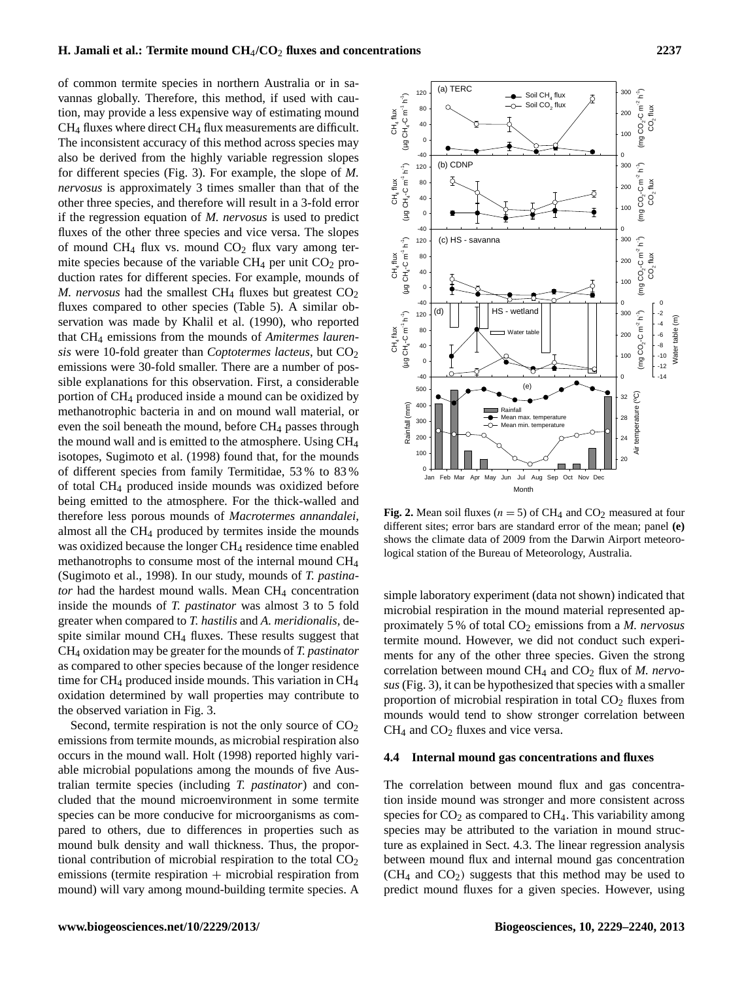# **H. Jamali et al.: Termite mound CH**4**/CO**<sup>2</sup> **fluxes and concentrations 2237**

of common termite species in northern Australia or in savannas globally. Therefore, this method, if used with caution, may provide a less expensive way of estimating mound CH<sup>4</sup> fluxes where direct CH<sup>4</sup> flux measurements are difficult. The inconsistent accuracy of this method across species may also be derived from the highly variable regression slopes for different species (Fig. 3). For example, the slope of *M. nervosus* is approximately 3 times smaller than that of the other three species, and therefore will result in a 3-fold error if the regression equation of *M. nervosus* is used to predict fluxes of the other three species and vice versa. The slopes of mound  $CH_4$  flux vs. mound  $CO_2$  flux vary among termite species because of the variable  $CH_4$  per unit  $CO_2$  production rates for different species. For example, mounds of *M. nervosus* had the smallest CH<sub>4</sub> fluxes but greatest  $CO<sub>2</sub>$ fluxes compared to other species (Table 5). A similar observation was made by Khalil et al. (1990), who reported that CH<sup>4</sup> emissions from the mounds of *Amitermes laurensis* were 10-fold greater than *Coptotermes lacteus*, but CO<sub>2</sub> emissions were 30-fold smaller. There are a number of possible explanations for this observation. First, a considerable portion of CH<sup>4</sup> produced inside a mound can be oxidized by methanotrophic bacteria in and on mound wall material, or even the soil beneath the mound, before  $CH_4$  passes through the mound wall and is emitted to the atmosphere. Using CH<sup>4</sup> isotopes, Sugimoto et al. (1998) found that, for the mounds of different species from family Termitidae, 53 % to 83 % of total CH<sup>4</sup> produced inside mounds was oxidized before being emitted to the atmosphere. For the thick-walled and therefore less porous mounds of *Macrotermes annandalei*, almost all the  $CH_4$  produced by termites inside the mounds was oxidized because the longer CH<sub>4</sub> residence time enabled methanotrophs to consume most of the internal mound CH<sup>4</sup> (Sugimoto et al., 1998). In our study, mounds of *T. pastinator* had the hardest mound walls. Mean CH<sub>4</sub> concentration inside the mounds of *T. pastinator* was almost 3 to 5 fold greater when compared to *T. hastilis* and *A. meridionalis,* despite similar mound CH<sup>4</sup> fluxes. These results suggest that CH<sup>4</sup> oxidation may be greater for the mounds of *T. pastinator* as compared to other species because of the longer residence time for  $CH_4$  produced inside mounds. This variation in  $CH_4$ oxidation determined by wall properties may contribute to the observed variation in Fig. 3.

Second, termite respiration is not the only source of  $CO<sub>2</sub>$ emissions from termite mounds, as microbial respiration also occurs in the mound wall. Holt (1998) reported highly variable microbial populations among the mounds of five Australian termite species (including *T. pastinator*) and concluded that the mound microenvironment in some termite species can be more conducive for microorganisms as compared to others, due to differences in properties such as mound bulk density and wall thickness. Thus, the proportional contribution of microbial respiration to the total  $CO<sub>2</sub>$ emissions (termite respiration  $+$  microbial respiration from mound) will vary among mound-building termite species. A



**Fig. 2.** Mean soil fluxes ( $n = 5$ ) of CH<sub>4</sub> and CO<sub>2</sub> measured at four different sites; error bars are standard error of the mean; panel **(e)** shows the climate data of 2009 from the Darwin Airport meteorological station of the Bureau of Meteorology, Australia.

simple laboratory experiment (data not shown) indicated that microbial respiration in the mound material represented approximately 5 % of total CO<sup>2</sup> emissions from a *M. nervosus* termite mound. However, we did not conduct such experiments for any of the other three species. Given the strong correlation between mound CH<sub>4</sub> and CO<sub>2</sub> flux of *M. nervosus* (Fig. 3), it can be hypothesized that species with a smaller proportion of microbial respiration in total  $CO<sub>2</sub>$  fluxes from mounds would tend to show stronger correlation between  $CH<sub>4</sub>$  and  $CO<sub>2</sub>$  fluxes and vice versa.

#### **4.4 Internal mound gas concentrations and fluxes**

The correlation between mound flux and gas concentration inside mound was stronger and more consistent across species for  $CO<sub>2</sub>$  as compared to  $CH<sub>4</sub>$ . This variability among species may be attributed to the variation in mound structure as explained in Sect. 4.3. The linear regression analysis between mound flux and internal mound gas concentration  $(CH<sub>4</sub>$  and  $CO<sub>2</sub>$ ) suggests that this method may be used to predict mound fluxes for a given species. However, using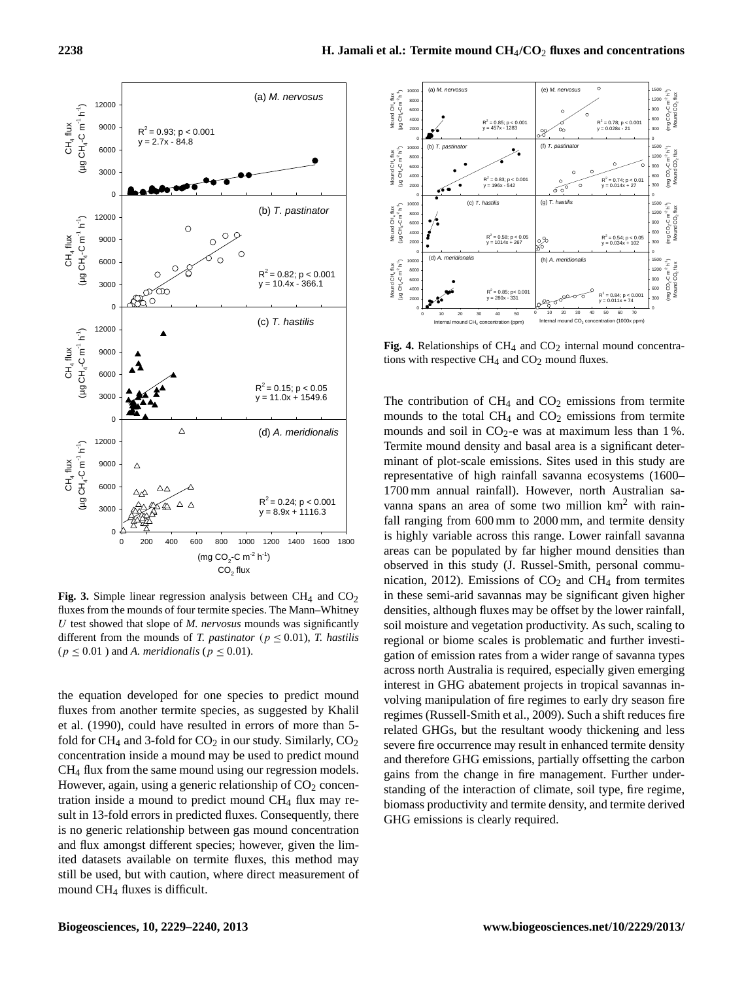

Fig. 3. Simple linear regression analysis between  $CH_4$  and  $CO_2$ fluxes from the mounds of four termite species. The Mann–Whitney U test showed that slope of *M. nervosus* mounds was significantly different from the mounds of *T. pastinator* ( $p \leq 0.01$ ), *T. hastilis* ( $p \leq 0.01$ ) and *A. meridionalis* ( $p \leq 0.01$ ).

the equation developed for one species to predict mound fluxes from another termite species, as suggested by Khalil et al. (1990), could have resulted in errors of more than 5 fold for  $CH_4$  and 3-fold for  $CO_2$  in our study. Similarly,  $CO_2$ concentration inside a mound may be used to predict mound CH<sup>4</sup> flux from the same mound using our regression models. However, again, using a generic relationship of  $CO<sub>2</sub>$  concentration inside a mound to predict mound CH<sup>4</sup> flux may result in 13-fold errors in predicted fluxes. Consequently, there is no generic relationship between gas mound concentration and flux amongst different species; however, given the limited datasets available on termite fluxes, this method may still be used, but with caution, where direct measurement of mound CH<sup>4</sup> fluxes is difficult.



tions with respective CH<sub>4</sub> and CO<sub>2</sub> mound fluxes. Fig. 4. Relationships of  $CH_4$  and  $CO_2$  internal mound concentra-

The contribution of  $CH_4$  and  $CO_2$  emissions from termite mounds to the total  $CH_4$  and  $CO_2$  emissions from termite mounds and soil in  $CO_2$ -e was at maximum less than 1%. Termite mound density and basal area is a significant determinant of plot-scale emissions. Sites used in this study are representative of high rainfall savanna ecosystems (1600– 1700 mm annual rainfall). However, north Australian savanna spans an area of some two million km<sup>2</sup> with rainfall ranging from 600 mm to 2000 mm, and termite density is highly variable across this range. Lower rainfall savanna areas can be populated by far higher mound densities than observed in this study (J. Russel-Smith, personal communication, 2012). Emissions of  $CO<sub>2</sub>$  and CH<sub>4</sub> from termites in these semi-arid savannas may be significant given higher densities, although fluxes may be offset by the lower rainfall, soil moisture and vegetation productivity. As such, scaling to regional or biome scales is problematic and further investigation of emission rates from a wider range of savanna types across north Australia is required, especially given emerging interest in GHG abatement projects in tropical savannas involving manipulation of fire regimes to early dry season fire regimes (Russell-Smith et al., 2009). Such a shift reduces fire related GHGs, but the resultant woody thickening and less severe fire occurrence may result in enhanced termite density and therefore GHG emissions, partially offsetting the carbon gains from the change in fire management. Further understanding of the interaction of climate, soil type, fire regime, biomass productivity and termite density, and termite derived GHG emissions is clearly required.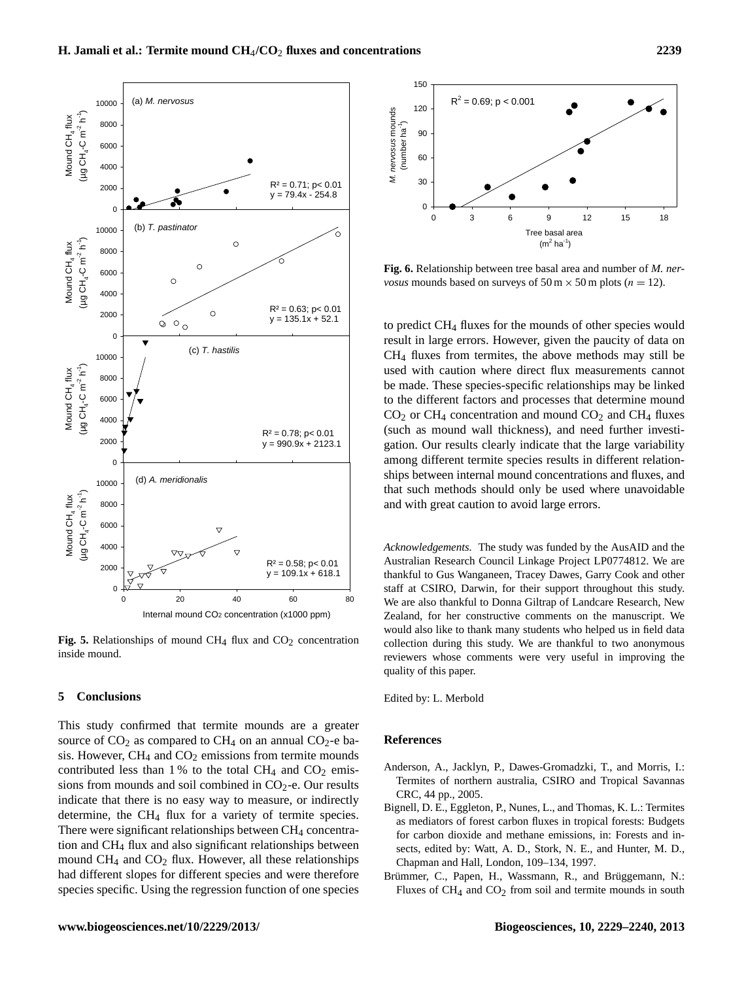This study confirmed that termite mounds are a greater source of  $CO<sub>2</sub>$  as compared to  $CH<sub>4</sub>$  on an annual  $CO<sub>2</sub>$ -e basis. However,  $CH_4$  and  $CO_2$  emissions from termite mounds contributed less than 1% to the total CH<sub>4</sub> and CO<sub>2</sub> emissions from mounds and soil combined in  $CO<sub>2</sub>$ -e. Our results indicate that there is no easy way to measure, or indirectly determine, the CH<sup>4</sup> flux for a variety of termite species. There were significant relationships between  $CH_4$  concentration and CH<sup>4</sup> flux and also significant relationships between mound  $CH_4$  and  $CO_2$  flux. However, all these relationships had different slopes for different species and were therefore species specific. Using the regression function of one species



**Fig. 5.** Relationships of mound CH<sub>4</sub> flux and CO<sub>2</sub> concentration collect inside mound.

## **5 Conclusions**



Fig. 6. Relationship between tree basal area and number of *M. nervosus* mounds based on surveys of  $50 \text{ m} \times 50 \text{ m}$  plots ( $n = 12$ ).

to predict CH<sup>4</sup> fluxes for the mounds of other species would result in large errors. However, given the paucity of data on CH<sup>4</sup> fluxes from termites, the above methods may still be used with caution where direct flux measurements cannot be made. These species-specific relationships may be linked to the different factors and processes that determine mound  $CO<sub>2</sub>$  or CH<sub>4</sub> concentration and mound  $CO<sub>2</sub>$  and CH<sub>4</sub> fluxes (such as mound wall thickness), and need further investigation. Our results clearly indicate that the large variability among different termite species results in different relationships between internal mound concentrations and fluxes, and that such methods should only be used where unavoidable and with great caution to avoid large errors.

*Acknowledgements.* The study was funded by the AusAID and the Australian Research Council Linkage Project LP0774812. We are thankful to Gus Wanganeen, Tracey Dawes, Garry Cook and other staff at CSIRO, Darwin, for their support throughout this study. We are also thankful to Donna Giltrap of Landcare Research, New Zealand, for her constructive comments on the manuscript. We would also like to thank many students who helped us in field data collection during this study. We are thankful to two anonymous reviewers whose comments were very useful in improving the quality of this paper.

Edited by: L. Merbold

### **References**

- Anderson, A., Jacklyn, P., Dawes-Gromadzki, T., and Morris, I.: Termites of northern australia, CSIRO and Tropical Savannas CRC, 44 pp., 2005.
- Bignell, D. E., Eggleton, P., Nunes, L., and Thomas, K. L.: Termites as mediators of forest carbon fluxes in tropical forests: Budgets for carbon dioxide and methane emissions, in: Forests and insects, edited by: Watt, A. D., Stork, N. E., and Hunter, M. D., Chapman and Hall, London, 109–134, 1997.
- Brümmer, C., Papen, H., Wassmann, R., and Brüggemann, N.: Fluxes of  $CH_4$  and  $CO_2$  from soil and termite mounds in south